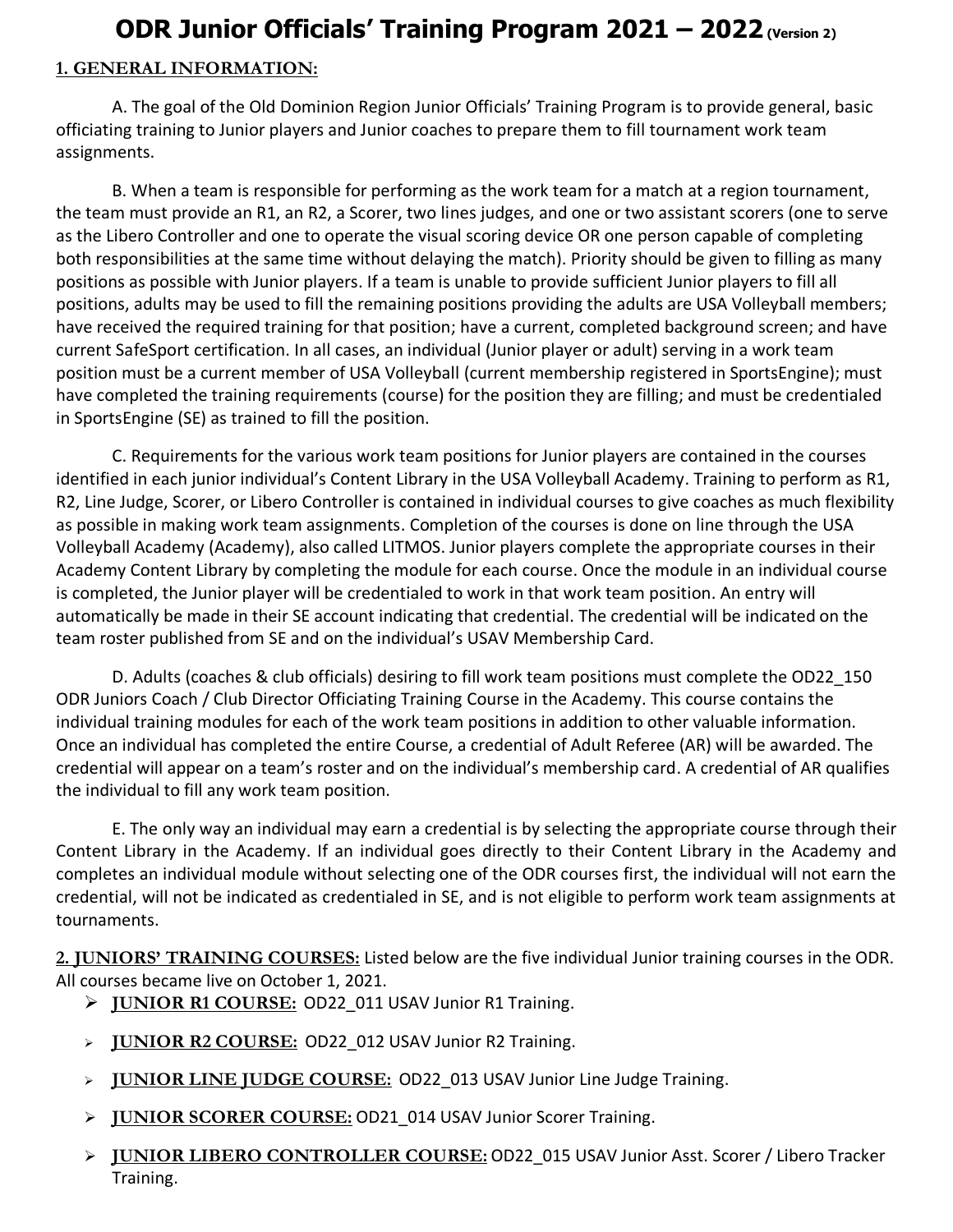## **ODR Junior Officials' Training Program 2021 – 2022(Version 2)**

## **1. GENERAL INFORMATION:**

A. The goal of the Old Dominion Region Junior Officials' Training Program is to provide general, basic officiating training to Junior players and Junior coaches to prepare them to fill tournament work team assignments.

B. When a team is responsible for performing as the work team for a match at a region tournament, the team must provide an R1, an R2, a Scorer, two lines judges, and one or two assistant scorers (one to serve as the Libero Controller and one to operate the visual scoring device OR one person capable of completing both responsibilities at the same time without delaying the match). Priority should be given to filling as many positions as possible with Junior players. If a team is unable to provide sufficient Junior players to fill all positions, adults may be used to fill the remaining positions providing the adults are USA Volleyball members; have received the required training for that position; have a current, completed background screen; and have current SafeSport certification. In all cases, an individual (Junior player or adult) serving in a work team position must be a current member of USA Volleyball (current membership registered in SportsEngine); must have completed the training requirements (course) for the position they are filling; and must be credentialed in SportsEngine (SE) as trained to fill the position.

C. Requirements for the various work team positions for Junior players are contained in the courses identified in each junior individual's Content Library in the USA Volleyball Academy. Training to perform as R1, R2, Line Judge, Scorer, or Libero Controller is contained in individual courses to give coaches as much flexibility as possible in making work team assignments. Completion of the courses is done on line through the USA Volleyball Academy (Academy), also called LITMOS. Junior players complete the appropriate courses in their Academy Content Library by completing the module for each course. Once the module in an individual course is completed, the Junior player will be credentialed to work in that work team position. An entry will automatically be made in their SE account indicating that credential. The credential will be indicated on the team roster published from SE and on the individual's USAV Membership Card.

D. Adults (coaches & club officials) desiring to fill work team positions must complete the OD22\_150 ODR Juniors Coach / Club Director Officiating Training Course in the Academy. This course contains the individual training modules for each of the work team positions in addition to other valuable information. Once an individual has completed the entire Course, a credential of Adult Referee (AR) will be awarded. The credential will appear on a team's roster and on the individual's membership card. A credential of AR qualifies the individual to fill any work team position.

E. The only way an individual may earn a credential is by selecting the appropriate course through their Content Library in the Academy. If an individual goes directly to their Content Library in the Academy and completes an individual module without selecting one of the ODR courses first, the individual will not earn the credential, will not be indicated as credentialed in SE, and is not eligible to perform work team assignments at tournaments.

**2. JUNIORS' TRAINING COURSES:** Listed below are the five individual Junior training courses in the ODR. All courses became live on October 1, 2021.

- ➢ **JUNIOR R1 COURSE:** OD22\_011 USAV Junior R1 Training.
- ➢ **JUNIOR R2 COURSE:** OD22\_012 USAV Junior R2 Training.
- ➢ **JUNIOR LINE JUDGE COURSE:** OD22\_013 USAV Junior Line Judge Training.
- ➢ **JUNIOR SCORER COURSE:** OD21\_014 USAV Junior Scorer Training.
- ➢ **JUNIOR LIBERO CONTROLLER COURSE:** OD22\_015 USAV Junior Asst. Scorer / Libero Tracker Training.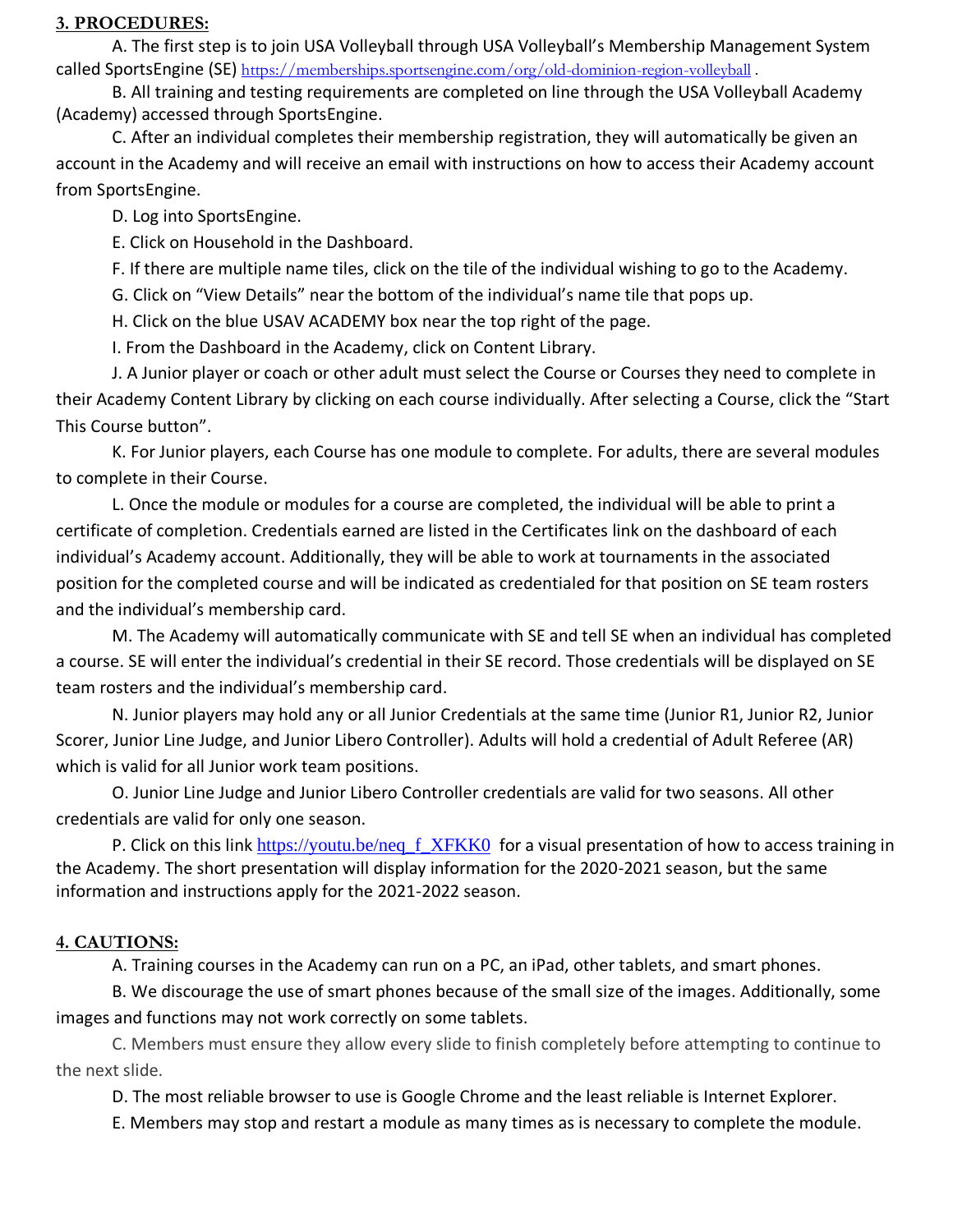## **3. PROCEDURES:**

A. The first step is to join USA Volleyball through USA Volleyball's Membership Management System called SportsEngine (SE) <https://memberships.sportsengine.com/org/old-dominion-region-volleyball>.

B. All training and testing requirements are completed on line through the USA Volleyball Academy (Academy) accessed through SportsEngine.

C. After an individual completes their membership registration, they will automatically be given an account in the Academy and will receive an email with instructions on how to access their Academy account from SportsEngine.

D. Log into SportsEngine.

E. Click on Household in the Dashboard.

F. If there are multiple name tiles, click on the tile of the individual wishing to go to the Academy.

G. Click on "View Details" near the bottom of the individual's name tile that pops up.

H. Click on the blue USAV ACADEMY box near the top right of the page.

I. From the Dashboard in the Academy, click on Content Library.

J. A Junior player or coach or other adult must select the Course or Courses they need to complete in their Academy Content Library by clicking on each course individually. After selecting a Course, click the "Start This Course button".

K. For Junior players, each Course has one module to complete. For adults, there are several modules to complete in their Course.

L. Once the module or modules for a course are completed, the individual will be able to print a certificate of completion. Credentials earned are listed in the Certificates link on the dashboard of each individual's Academy account. Additionally, they will be able to work at tournaments in the associated position for the completed course and will be indicated as credentialed for that position on SE team rosters and the individual's membership card.

M. The Academy will automatically communicate with SE and tell SE when an individual has completed a course. SE will enter the individual's credential in their SE record. Those credentials will be displayed on SE team rosters and the individual's membership card.

N. Junior players may hold any or all Junior Credentials at the same time (Junior R1, Junior R2, Junior Scorer, Junior Line Judge, and Junior Libero Controller). Adults will hold a credential of Adult Referee (AR) which is valid for all Junior work team positions.

O. Junior Line Judge and Junior Libero Controller credentials are valid for two seasons. All other credentials are valid for only one season.

P. Click on this link https://youtu.be/neq f XFKK0 for a visual presentation of how to access training in the Academy. The short presentation will display information for the 2020-2021 season, but the same information and instructions apply for the 2021-2022 season.

## **4. CAUTIONS:**

A. Training courses in the Academy can run on a PC, an iPad, other tablets, and smart phones.

B. We discourage the use of smart phones because of the small size of the images. Additionally, some images and functions may not work correctly on some tablets.

C. Members must ensure they allow every slide to finish completely before attempting to continue to the next slide.

D. The most reliable browser to use is Google Chrome and the least reliable is Internet Explorer.

E. Members may stop and restart a module as many times as is necessary to complete the module.